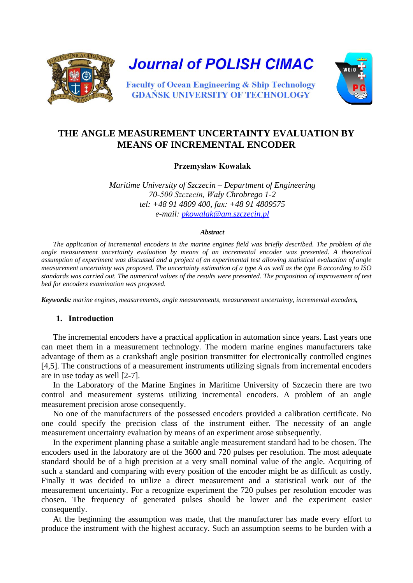

# **THE ANGLE MEASUREMENT UNCERTAINTY EVALUATION BY MEANS OF INCREMENTAL ENCODER**

**Przemysław Kowalak**

*Maritime University of Szczecin – Department of Engineering 70-500 Szczecin, Wały Chrobrego 1-2 tel: +48 91 4809 400, fax: +48 91 4809575 e-mail: [pkowalak@am.szczecin.pl](mailto:pkowalak@am.szczecin.pl)*

#### *Abstract*

*The application of incremental encoders in the marine engines field was briefly described. The problem of the angle measurement uncertainty evaluation by means of an incremental encoder was presented. A theoretical assumption of experiment was discussed and a project of an experimental test allowing statistical evaluation of angle measurement uncertainty was proposed. The uncertainty estimation of a type A as well as the type B according to ISO standards was carried out. The numerical values of the results were presented. The proposition of improvement of test bed for encoders examination was proposed.*

*Keywords: marine engines, measurements, angle measurements, measurement uncertainty, incremental encoders,* 

## **1. Introduction**

The incremental encoders have a practical application in automation since years. Last years one can meet them in a measurement technology. The modern marine engines manufacturers take advantage of them as a crankshaft angle position transmitter for electronically controlled engines [4,5]. The constructions of a measurement instruments utilizing signals from incremental encoders are in use today as well [2-7].

In the Laboratory of the Marine Engines in Maritime University of Szczecin there are two control and measurement systems utilizing incremental encoders. A problem of an angle measurement precision arose consequently.

No one of the manufacturers of the possessed encoders provided a calibration certificate. No one could specify the precision class of the instrument either. The necessity of an angle measurement uncertainty evaluation by means of an experiment arose subsequently.

In the experiment planning phase a suitable angle measurement standard had to be chosen. The encoders used in the laboratory are of the 3600 and 720 pulses per resolution. The most adequate standard should be of a high precision at a very small nominal value of the angle. Acquiring of such a standard and comparing with every position of the encoder might be as difficult as costly. Finally it was decided to utilize a direct measurement and a statistical work out of the measurement uncertainty. For a recognize experiment the 720 pulses per resolution encoder was chosen. The frequency of generated pulses should be lower and the experiment easier consequently.

At the beginning the assumption was made, that the manufacturer has made every effort to produce the instrument with the highest accuracy. Such an assumption seems to be burden with a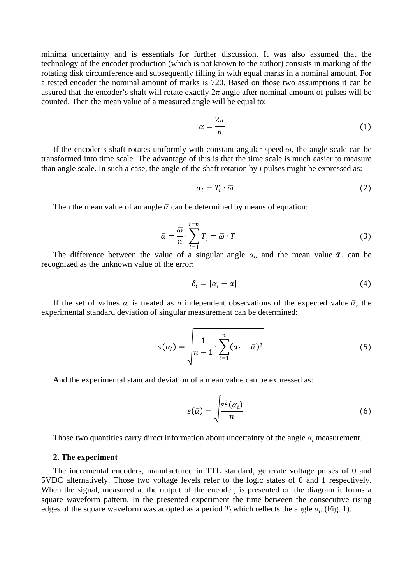minima uncertainty and is essentials for further discussion. It was also assumed that the technology of the encoder production (which is not known to the author) consists in marking of the rotating disk circumference and subsequently filling in with equal marks in a nominal amount. For a tested encoder the nominal amount of marks is 720. Based on those two assumptions it can be assured that the encoder's shaft will rotate exactly  $2\pi$  angle after nominal amount of pulses will be counted. Then the mean value of a measured angle will be equal to:

$$
\bar{\alpha} = \frac{2\pi}{n} \tag{1}
$$

If the encoder's shaft rotates uniformly with constant angular speed  $\overline{\omega}$ , the angle scale can be transformed into time scale. The advantage of this is that the time scale is much easier to measure than angle scale. In such a case, the angle of the shaft rotation by *i* pulses might be expressed as:

$$
\alpha_i = T_i \cdot \overline{\omega} \tag{2}
$$

Then the mean value of an angle  $\bar{\alpha}$  can be determined by means of equation:

$$
\bar{\alpha} = \frac{\bar{\omega}}{n} \cdot \sum_{i=1}^{i=n} T_i = \bar{\omega} \cdot \bar{T}
$$
 (3)

The difference between the value of a singular angle  $\alpha_i$ , and the mean value  $\bar{\alpha}$ , can be recognized as the unknown value of the error:

$$
\delta_i = |\alpha_i - \bar{\alpha}| \tag{4}
$$

If the set of values  $\alpha_i$  is treated as *n* independent observations of the expected value  $\bar{\alpha}$ , the experimental standard deviation of singular measurement can be determined:

$$
s(\alpha_i) = \sqrt{\frac{1}{n-1} \cdot \sum_{i=1}^n (\alpha_i - \overline{\alpha})^2}
$$
 (5)

And the experimental standard deviation of a mean value can be expressed as:

$$
s(\bar{\alpha}) = \sqrt{\frac{s^2(\alpha_i)}{n}}
$$
 (6)

Those two quantities carry direct information about uncertainty of the angle  $\alpha_i$  measurement.

#### **2. The experiment**

The incremental encoders, manufactured in TTL standard, generate voltage pulses of 0 and 5VDC alternatively. Those two voltage levels refer to the logic states of 0 and 1 respectively. When the signal, measured at the output of the encoder, is presented on the diagram it forms a square waveform pattern. In the presented experiment the time between the consecutive rising edges of the square waveform was adopted as a period  $T_i$  which reflects the angle  $\alpha_i$ . (Fig. 1).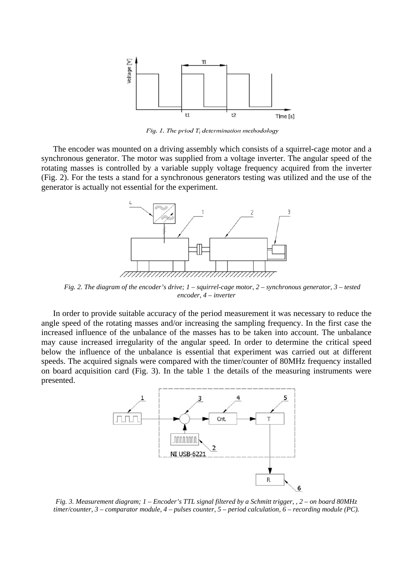

*Fig. 1. The priod Ti determination methodology*

The encoder was mounted on a driving assembly which consists of a squirrel-cage motor and a synchronous generator. The motor was supplied from a voltage inverter. The angular speed of the rotating masses is controlled by a variable supply voltage frequency acquired from the inverter (Fig. 2). For the tests a stand for a synchronous generators testing was utilized and the use of the generator is actually not essential for the experiment.



*Fig. 2. The diagram of the encoder's drive; 1 – squirrel-cage motor, 2 – synchronous generator, 3 – tested encoder, 4 – inverter*

In order to provide suitable accuracy of the period measurement it was necessary to reduce the angle speed of the rotating masses and/or increasing the sampling frequency. In the first case the increased influence of the unbalance of the masses has to be taken into account. The unbalance may cause increased irregularity of the angular speed. In order to determine the critical speed below the influence of the unbalance is essential that experiment was carried out at different speeds. The acquired signals were compared with the timer/counter of 80MHz frequency installed on board acquisition card (Fig. 3). In the table 1 the details of the measuring instruments were presented.



*Fig. 3. Measurement diagram; 1 – Encoder's TTL signal filtered by a Schmitt trigger, , 2 – on board 80MHz timer/counter, 3 – comparator module, 4 – pulses counter, 5 – period calculation, 6 – recording module (PC).*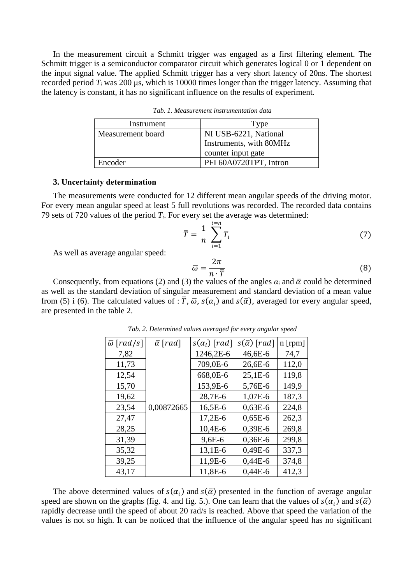In the measurement circuit a Schmitt trigger was engaged as a first filtering element. The Schmitt trigger is a semiconductor comparator circuit which generates logical 0 or 1 dependent on the input signal value. The applied Schmitt trigger has a very short latency of 20ns. The shortest recorded period *Ti* was 200 μs, which is 10000 times longer than the trigger latency. Assuming that the latency is constant, it has no significant influence on the results of experiment.

| Instrument        | Type                    |
|-------------------|-------------------------|
| Measurement board | NI USB-6221, National   |
|                   | Instruments, with 80MHz |
|                   | counter input gate      |
| Encoder           | PFI 60A0720TPT, Intron  |

*Tab. 1. Measurement instrumentation data*

#### **3. Uncertainty determination**

The measurements were conducted for 12 different mean angular speeds of the driving motor. For every mean angular speed at least 5 full revolutions was recorded. The recorded data contains 79 sets of 720 values of the period *Ti*. For every set the average was determined:

$$
\bar{T} = \frac{1}{n} \sum_{i=1}^{i=n} T_i \tag{7}
$$

As well as average angular speed:

$$
\overline{\omega} = \frac{2\pi}{n \cdot \overline{T}}
$$
(8)

Consequently, from equations (2) and (3) the values of the angles  $\alpha_i$  and  $\bar{\alpha}$  could be determined as well as the standard deviation of singular measurement and standard deviation of a mean value from (5) i (6). The calculated values of :  $\overline{T}$ ,  $\overline{\omega}$ ,  $s(\alpha_i)$  and  $s(\overline{\alpha})$ , averaged for every angular speed, are presented in the table 2.

| $\lceil rad/s \rceil$<br>$\overline{\omega}$ | $\bar{\alpha}$ [rad] | $s(\alpha_i)$ [rad] | $s(\bar{\alpha})$ [rad] | n [rpm] |
|----------------------------------------------|----------------------|---------------------|-------------------------|---------|
| 7,82                                         |                      | 1246,2E-6           | 46,6E-6                 | 74,7    |
| 11,73                                        |                      | 709,0E-6            | 26,6E-6                 | 112,0   |
| 12,54                                        |                      | 668,0E-6            | $25,1E-6$               | 119,8   |
| 15,70                                        |                      | 153,9E-6            | 5,76E-6                 | 149,9   |
| 19,62                                        |                      | 28,7E-6             | 1,07E-6                 | 187,3   |
| 23,54                                        | 0,00872665           | 16,5E-6             | $0,63E-6$               | 224,8   |
| 27,47                                        |                      | $17,2E-6$           | $0,65E-6$               | 262,3   |
| 28,25                                        |                      | $10,4E-6$           | $0,39E-6$               | 269,8   |
| 31,39                                        |                      | $9,6E-6$            | $0,36E-6$               | 299,8   |
| 35,32                                        |                      | 13,1E-6             | $0,49E-6$               | 337,3   |
| 39,25                                        |                      | 11,9E-6             | $0,44E-6$               | 374,8   |
| 43,17                                        |                      | 11,8E-6             | 0,44E-6                 | 412,3   |

*Tab. 2. Determined values averaged for every angular speed*

The above determined values of  $s(\alpha_i)$  and  $s(\bar{\alpha})$  presented in the function of average angular speed are shown on the graphs (fig. 4. and fig. 5.). One can learn that the values of  $s(\alpha_i)$  and  $s(\bar{\alpha})$ rapidly decrease until the speed of about 20 rad/s is reached. Above that speed the variation of the values is not so high. It can be noticed that the influence of the angular speed has no significant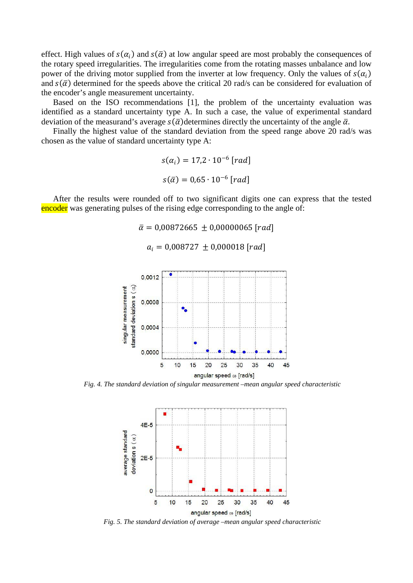effect. High values of  $s(\alpha_i)$  and  $s(\bar{\alpha})$  at low angular speed are most probably the consequences of the rotary speed irregularities. The irregularities come from the rotating masses unbalance and low power of the driving motor supplied from the inverter at low frequency. Only the values of  $s(\alpha_i)$ and  $s(\bar{\alpha})$  determined for the speeds above the critical 20 rad/s can be considered for evaluation of the encoder's angle measurement uncertainty.

Based on the ISO recommendations [1], the problem of the uncertainty evaluation was identified as a standard uncertainty type A. In such a case, the value of experimental standard deviation of the measurand's average  $s(\bar{\alpha})$  determines directly the uncertainty of the angle  $\bar{\alpha}$ .

Finally the highest value of the standard deviation from the speed range above 20 rad/s was chosen as the value of standard uncertainty type A:

> $s(\alpha_i) = 17,2 \cdot 10^{-6}$  [rad]  $s(\bar{\alpha}) = 0.65 \cdot 10^{-6}$  [rad]

After the results were rounded off to two significant digits one can express that the tested encoder was generating pulses of the rising edge corresponding to the angle of:

 $\bar{\alpha} = 0.00872665 \pm 0.00000065$  [rad]

 $a_i = 0.008727 \pm 0.000018$  [rad]



*Fig. 4. The standard deviation of singular measurement –mean angular speed characteristic*



*Fig. 5. The standard deviation of average –mean angular speed characteristic*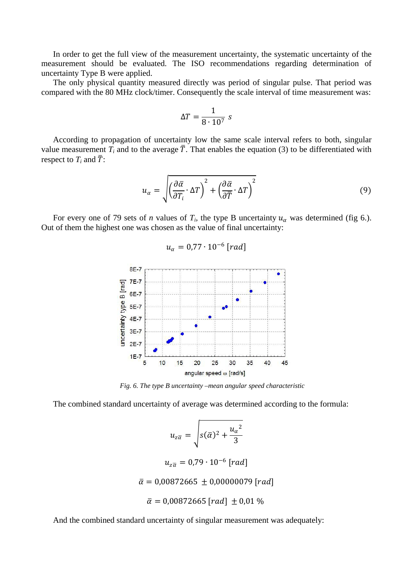In order to get the full view of the measurement uncertainty, the systematic uncertainty of the measurement should be evaluated. The ISO recommendations regarding determination of uncertainty Type B were applied.

The only physical quantity measured directly was period of singular pulse. That period was compared with the 80 MHz clock/timer. Consequently the scale interval of time measurement was:

$$
\Delta T = \frac{1}{8 \cdot 10^7} \text{ s}
$$

According to propagation of uncertainty low the same scale interval refers to both, singular value measurement *T<sub>i</sub>* and to the average  $\overline{T}$ . That enables the equation (3) to be differentiated with respect to  $T_i$  and  $\overline{T}$ :

$$
u_{\alpha} = \sqrt{\left(\frac{\partial \bar{\alpha}}{\partial T_i} \cdot \Delta T\right)^2 + \left(\frac{\partial \bar{\alpha}}{\partial \bar{T}} \cdot \Delta T\right)^2} \tag{9}
$$

For every one of 79 sets of *n* values of  $T_i$ , the type B uncertainty  $u_\alpha$  was determined (fig 6.). Out of them the highest one was chosen as the value of final uncertainty:

$$
u_{\alpha}=0.77\cdot 10^{-6}\,[rad]
$$



*Fig. 6. The type B uncertainty –mean angular speed characteristic*

The combined standard uncertainty of average was determined according to the formula:

$$
u_{z\overline{\alpha}} = \sqrt{s(\overline{\alpha})^2 + \frac{u_{\alpha}^2}{3}}
$$

$$
u_{z\overline{\alpha}} = 0.79 \cdot 10^{-6} \text{ [rad]}
$$

$$
\overline{\alpha} = 0.00872665 \pm 0.00000079 \text{ [rad]}
$$

$$
\overline{\alpha} = 0.00872665 \text{ [rad]} \pm 0.01 \%
$$

And the combined standard uncertainty of singular measurement was adequately: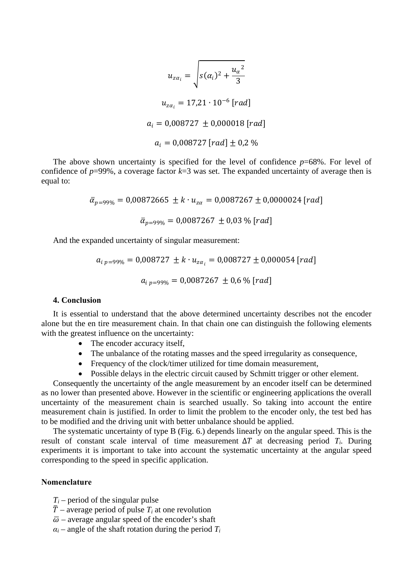$$
u_{z\alpha_i} = \sqrt{s(\alpha_i)^2 + \frac{u_{\alpha}^2}{3}}
$$
  

$$
u_{z\alpha_i} = 17,21 \cdot 10^{-6} \text{ [rad]}
$$
  

$$
a_i = 0,008727 \pm 0,000018 \text{ [rad]}
$$
  

$$
a_i = 0,008727 \text{ [rad]} \pm 0,2 \text{ %}
$$

The above shown uncertainty is specified for the level of confidence *p*=68%. For level of confidence of  $p=99\%$ , a coverage factor  $k=3$  was set. The expanded uncertainty of average then is equal to:

> $\bar{\alpha}_{p=99\%} = 0.00872665 \pm k \cdot u_{z\alpha} = 0.0087267 \pm 0.0000024$  [rad]  $\bar{\alpha}_{p=99\%} = 0.0087267 \pm 0.03$  % [rad]

And the expanded uncertainty of singular measurement:

$$
a_{i p=99\%} = 0,008727 \pm k \cdot u_{z\alpha_i} = 0,008727 \pm 0,000054 \, [rad]
$$
\n
$$
a_{i p=99\%} = 0,0087267 \pm 0,6 \,\% \, [rad]
$$

### **4. Conclusion**

It is essential to understand that the above determined uncertainty describes not the encoder alone but the en tire measurement chain. In that chain one can distinguish the following elements with the greatest influence on the uncertainty:

- The encoder accuracy itself,
- The unbalance of the rotating masses and the speed irregularity as consequence,
- Frequency of the clock/timer utilized for time domain measurement,
- Possible delays in the electric circuit caused by Schmitt trigger or other element.

Consequently the uncertainty of the angle measurement by an encoder itself can be determined as no lower than presented above. However in the scientific or engineering applications the overall uncertainty of the measurement chain is searched usually. So taking into account the entire measurement chain is justified. In order to limit the problem to the encoder only, the test bed has to be modified and the driving unit with better unbalance should be applied.

The systematic uncertainty of type B (Fig. 6.) depends linearly on the angular speed. This is the result of constant scale interval of time measurement  $\Delta T$  at decreasing period  $T_i$ . During experiments it is important to take into account the systematic uncertainty at the angular speed corresponding to the speed in specific application.

### **Nomenclature**

- $T_i$  period of the singular pulse
- $\overline{T}$  average period of pulse  $T_i$  at one revolution
- $\overline{\omega}$  average angular speed of the encoder's shaft
- $\alpha_i$  angle of the shaft rotation during the period  $T_i$